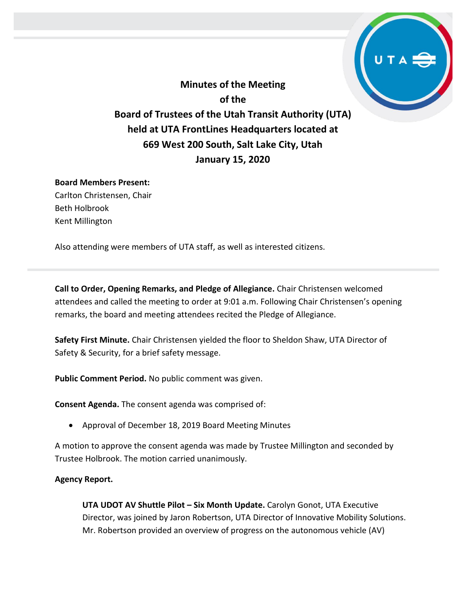**Minutes of the Meeting of the Board of Trustees of the Utah Transit Authority (UTA) held at UTA FrontLines Headquarters located at 669 West 200 South, Salt Lake City, Utah January 15, 2020**

## **Board Members Present:**

Carlton Christensen, Chair Beth Holbrook Kent Millington

Also attending were members of UTA staff, as well as interested citizens.

**Call to Order, Opening Remarks, and Pledge of Allegiance.** Chair Christensen welcomed attendees and called the meeting to order at 9:01 a.m. Following Chair Christensen's opening remarks, the board and meeting attendees recited the Pledge of Allegiance.

**Safety First Minute.** Chair Christensen yielded the floor to Sheldon Shaw, UTA Director of Safety & Security, for a brief safety message.

**Public Comment Period.** No public comment was given.

**Consent Agenda.** The consent agenda was comprised of:

• Approval of December 18, 2019 Board Meeting Minutes

A motion to approve the consent agenda was made by Trustee Millington and seconded by Trustee Holbrook. The motion carried unanimously.

## **Agency Report.**

**UTA UDOT AV Shuttle Pilot – Six Month Update.** Carolyn Gonot, UTA Executive Director, was joined by Jaron Robertson, UTA Director of Innovative Mobility Solutions. Mr. Robertson provided an overview of progress on the autonomous vehicle (AV)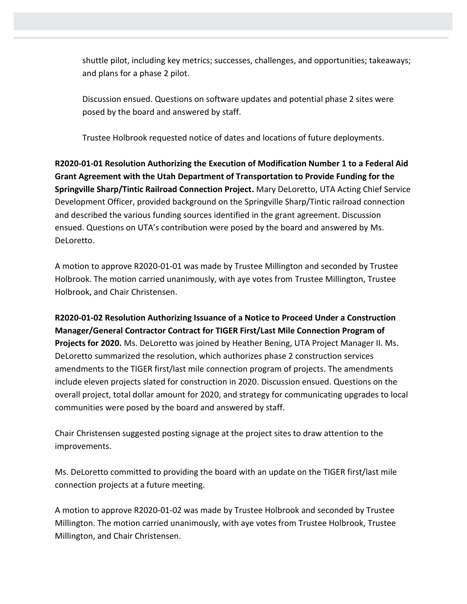shuttle pilot, including key metrics; successes, challenges, and opportunities; takeaways; and plans for a phase 2 pilot.

Discussion ensued. Questions on software updates and potential phase 2 sites were posed by the board and answered by staff.

Trustee Holbrook requested notice of dates and locations of future deployments.

**R2020-01-01 Resolution Authorizing the Execution of Modification Number 1 to a Federal Aid Grant Agreement with the Utah Department of Transportation to Provide Funding for the Springville Sharp/Tintic Railroad Connection Project.** Mary DeLoretto, UTA Acting Chief Service Development Officer, provided background on the Springville Sharp/Tintic railroad connection and described the various funding sources identified in the grant agreement. Discussion ensued. Questions on UTA's contribution were posed by the board and answered by Ms. DeLoretto.

A motion to approve R2020-01-01 was made by Trustee Millington and seconded by Trustee Holbrook. The motion carried unanimously, with aye votes from Trustee Millington, Trustee Holbrook, and Chair Christensen.

**R2020-01-02 Resolution Authorizing Issuance of a Notice to Proceed Under a Construction Manager/General Contractor Contract for TIGER First/Last Mile Connection Program of Projects for 2020.** Ms. DeLoretto was joined by Heather Bening, UTA Project Manager II. Ms. DeLoretto summarized the resolution, which authorizes phase 2 construction services amendments to the TIGER first/last mile connection program of projects. The amendments include eleven projects slated for construction in 2020. Discussion ensued. Questions on the overall project, total dollar amount for 2020, and strategy for communicating upgrades to local communities were posed by the board and answered by staff.

Chair Christensen suggested posting signage at the project sites to draw attention to the improvements.

Ms. DeLoretto committed to providing the board with an update on the TIGER first/last mile connection projects at a future meeting.

A motion to approve R2020-01-02 was made by Trustee Holbrook and seconded by Trustee Millington. The motion carried unanimously, with aye votes from Trustee Holbrook, Trustee Millington, and Chair Christensen.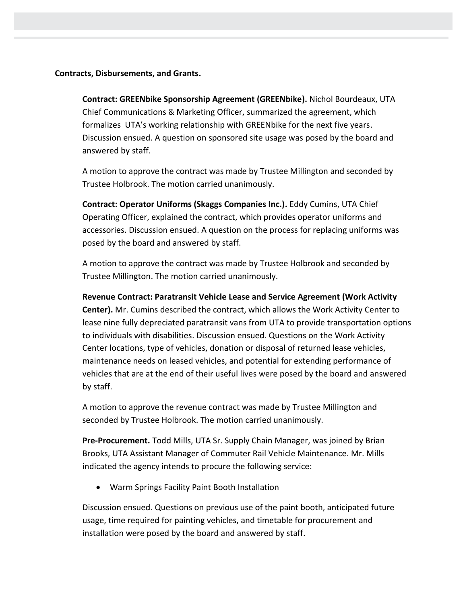**Contracts, Disbursements, and Grants.**

**Contract: GREENbike Sponsorship Agreement (GREENbike).** Nichol Bourdeaux, UTA Chief Communications & Marketing Officer, summarized the agreement, which formalizes UTA's working relationship with GREENbike for the next five years. Discussion ensued. A question on sponsored site usage was posed by the board and answered by staff.

A motion to approve the contract was made by Trustee Millington and seconded by Trustee Holbrook. The motion carried unanimously.

**Contract: Operator Uniforms (Skaggs Companies Inc.).** Eddy Cumins, UTA Chief Operating Officer, explained the contract, which provides operator uniforms and accessories. Discussion ensued. A question on the process for replacing uniforms was posed by the board and answered by staff.

A motion to approve the contract was made by Trustee Holbrook and seconded by Trustee Millington. The motion carried unanimously.

**Revenue Contract: Paratransit Vehicle Lease and Service Agreement (Work Activity Center).** Mr. Cumins described the contract, which allows the Work Activity Center to lease nine fully depreciated paratransit vans from UTA to provide transportation options to individuals with disabilities. Discussion ensued. Questions on the Work Activity Center locations, type of vehicles, donation or disposal of returned lease vehicles, maintenance needs on leased vehicles, and potential for extending performance of vehicles that are at the end of their useful lives were posed by the board and answered by staff.

A motion to approve the revenue contract was made by Trustee Millington and seconded by Trustee Holbrook. The motion carried unanimously.

**Pre-Procurement.** Todd Mills, UTA Sr. Supply Chain Manager, was joined by Brian Brooks, UTA Assistant Manager of Commuter Rail Vehicle Maintenance. Mr. Mills indicated the agency intends to procure the following service:

• Warm Springs Facility Paint Booth Installation

Discussion ensued. Questions on previous use of the paint booth, anticipated future usage, time required for painting vehicles, and timetable for procurement and installation were posed by the board and answered by staff.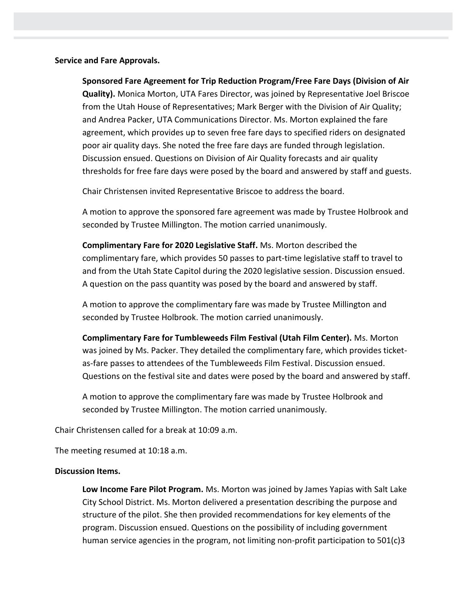**Service and Fare Approvals.**

**Sponsored Fare Agreement for Trip Reduction Program/Free Fare Days (Division of Air Quality).** Monica Morton, UTA Fares Director, was joined by Representative Joel Briscoe from the Utah House of Representatives; Mark Berger with the Division of Air Quality; and Andrea Packer, UTA Communications Director. Ms. Morton explained the fare agreement, which provides up to seven free fare days to specified riders on designated poor air quality days. She noted the free fare days are funded through legislation. Discussion ensued. Questions on Division of Air Quality forecasts and air quality thresholds for free fare days were posed by the board and answered by staff and guests.

Chair Christensen invited Representative Briscoe to address the board.

A motion to approve the sponsored fare agreement was made by Trustee Holbrook and seconded by Trustee Millington. The motion carried unanimously.

**Complimentary Fare for 2020 Legislative Staff.** Ms. Morton described the complimentary fare, which provides 50 passes to part-time legislative staff to travel to and from the Utah State Capitol during the 2020 legislative session. Discussion ensued. A question on the pass quantity was posed by the board and answered by staff.

A motion to approve the complimentary fare was made by Trustee Millington and seconded by Trustee Holbrook. The motion carried unanimously.

**Complimentary Fare for Tumbleweeds Film Festival (Utah Film Center).** Ms. Morton was joined by Ms. Packer. They detailed the complimentary fare, which provides ticketas-fare passes to attendees of the Tumbleweeds Film Festival. Discussion ensued. Questions on the festival site and dates were posed by the board and answered by staff.

A motion to approve the complimentary fare was made by Trustee Holbrook and seconded by Trustee Millington. The motion carried unanimously.

Chair Christensen called for a break at 10:09 a.m.

The meeting resumed at 10:18 a.m.

## **Discussion Items.**

**Low Income Fare Pilot Program.** Ms. Morton was joined by James Yapias with Salt Lake City School District. Ms. Morton delivered a presentation describing the purpose and structure of the pilot. She then provided recommendations for key elements of the program. Discussion ensued. Questions on the possibility of including government human service agencies in the program, not limiting non-profit participation to 501(c)3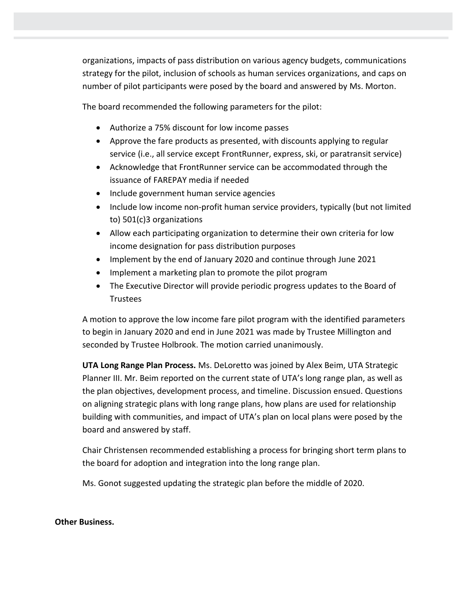organizations, impacts of pass distribution on various agency budgets, communications strategy for the pilot, inclusion of schools as human services organizations, and caps on number of pilot participants were posed by the board and answered by Ms. Morton.

The board recommended the following parameters for the pilot:

- Authorize a 75% discount for low income passes
- Approve the fare products as presented, with discounts applying to regular service (i.e., all service except FrontRunner, express, ski, or paratransit service)
- Acknowledge that FrontRunner service can be accommodated through the issuance of FAREPAY media if needed
- Include government human service agencies
- Include low income non-profit human service providers, typically (but not limited to) 501(c)3 organizations
- Allow each participating organization to determine their own criteria for low income designation for pass distribution purposes
- Implement by the end of January 2020 and continue through June 2021
- Implement a marketing plan to promote the pilot program
- The Executive Director will provide periodic progress updates to the Board of **Trustees**

A motion to approve the low income fare pilot program with the identified parameters to begin in January 2020 and end in June 2021 was made by Trustee Millington and seconded by Trustee Holbrook. The motion carried unanimously.

**UTA Long Range Plan Process.** Ms. DeLoretto was joined by Alex Beim, UTA Strategic Planner III. Mr. Beim reported on the current state of UTA's long range plan, as well as the plan objectives, development process, and timeline. Discussion ensued. Questions on aligning strategic plans with long range plans, how plans are used for relationship building with communities, and impact of UTA's plan on local plans were posed by the board and answered by staff.

Chair Christensen recommended establishing a process for bringing short term plans to the board for adoption and integration into the long range plan.

Ms. Gonot suggested updating the strategic plan before the middle of 2020.

## **Other Business.**